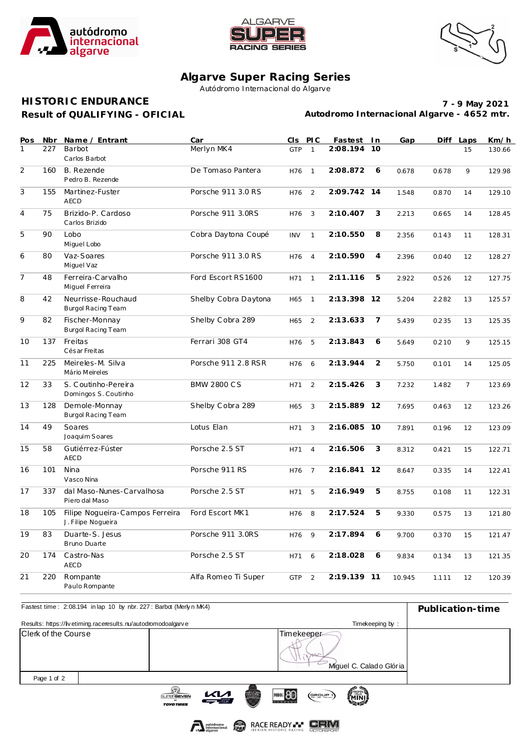





## **Algarve Super Racing Series**

Autódromo Internacional do Algarve

## **Result of QUALIFYING - OFICIAL HISTORIC ENDURANCE**

**7 - 9 May 2021 Autodromo Internacional Algarve - 4652 mtr.**

| Pos<br>1       | Nbr<br>227 | Name / Entrant<br>Barbot                              | Car<br>Merlyn MK4    | CIS PIC<br><b>GTP</b> | $\mathbf{1}$   | Fastest In<br>2:08.194 | 10             | Gap    |       | Diff Laps<br>15 | Km/h<br>130.66 |
|----------------|------------|-------------------------------------------------------|----------------------|-----------------------|----------------|------------------------|----------------|--------|-------|-----------------|----------------|
|                |            | Carlos Barbot                                         |                      |                       |                |                        |                |        |       |                 |                |
| $\overline{2}$ | 160        | B. Rezende<br>Pedro B. Rezende                        | De Tomaso Pantera    | H76                   | $\mathbf{1}$   | 2:08.872               | 6              | 0.678  | 0.678 | 9               | 129.98         |
| 3              | 155        | Martinez-Fuster<br><b>AECD</b>                        | Porsche 911 3.0 RS   | H76                   | 2              | 2:09.742 14            |                | 1.548  | 0.870 | 14              | 129.10         |
| 4              | 75         | Brizido-P. Cardoso<br>Carlos Brizido                  | Porsche 911 3.0RS    | H76                   | 3              | 2:10.407               | 3              | 2.213  | 0.665 | 14              | 128.45         |
| 5              | 90         | Lobo<br>Miguel Lobo                                   | Cobra Daytona Coupé  | <b>INV</b>            | $\mathbf{1}$   | 2:10.550               | 8              | 2.356  | 0.143 | 11              | 128.31         |
| 6              | 80         | Vaz-Soares<br>Miguel Vaz                              | Porsche 911 3.0 RS   | H76                   | $\overline{4}$ | 2:10.590               | $\overline{4}$ | 2.396  | 0.040 | 12              | 128.27         |
| 7              | 48         | Ferreira-Carvalho<br>Miquel Ferreira                  | Ford Escort RS1600   | H71                   | $\mathbf{1}$   | 2:11.116               | 5              | 2.922  | 0.526 | 12              | 127.75         |
| 8              | 42         | Neurrisse-Rouchaud<br><b>Burgol Racing Team</b>       | Shelby Cobra Daytona | H65                   | $\mathbf{1}$   | 2:13.398 12            |                | 5.204  | 2.282 | 13              | 125.57         |
| $\overline{9}$ | 82         | Fischer-Monnay<br>Burgol Racing Team                  | Shelby Cobra 289     | H65                   | 2              | 2:13.633               | 7              | 5.439  | 0.235 | 13              | 125.35         |
| 10             | 137        | Freitas<br>Cés ar Freitas                             | Ferrari 308 GT4      | H76                   | 5              | 2:13.843               | 6              | 5.649  | 0.210 | 9               | 125.15         |
| 11             | 225        | Meireles-M. Silva<br>Mário Meireles                   | Porsche 911 2.8 RSR  | H76                   | 6              | 2:13.944               | 2              | 5.750  | 0.101 | 14              | 125.05         |
| 12             | 33         | S. Coutinho-Pereira<br>Domingos S. Coutinho           | <b>BMW 2800 CS</b>   | H71                   | 2              | 2:15.426               | 3              | 7.232  | 1.482 | $\overline{7}$  | 123.69         |
| 13             | 128        | Demole-Monnay<br><b>Burgol Racing Team</b>            | Shelby Cobra 289     | H65                   | 3              | 2:15.889 12            |                | 7.695  | 0.463 | 12              | 123.26         |
| 14             | 49         | Soares<br>Joaquim Soares                              | Lotus Elan           | H71                   | 3              | 2:16.085 10            |                | 7.891  | 0.196 | 12              | 123.09         |
| 15             | 58         | Gutiérrez-Fúster<br><b>AECD</b>                       | Porsche 2.5 ST       | H71                   | $\overline{4}$ | 2:16.506               | 3              | 8.312  | 0.421 | 15              | 122.71         |
| 16             | 101        | Nina<br>Vasco Nina                                    | Porsche 911 RS       | H76                   | $\overline{7}$ | 2:16.841               | 12             | 8.647  | 0.335 | 14              | 122.41         |
| 17             | 337        | dal Maso-Nunes-Carvalhosa<br>Piero dal Maso           | Porsche 2.5 ST       | H71                   | 5              | 2:16.949               | 5              | 8.755  | 0.108 | 11              | 122.31         |
| 18             | 105        | Filipe Noqueira-Campos Ferreira<br>J. Filipe Nogueira | Ford Escort MK1      | H76                   | 8              | 2:17.524               | 5              | 9.330  | 0.575 | 13              | 121.80         |
| 19             | 83         | Duarte-S. Jesus<br>Bruno Duarte                       | Porsche 911 3.0RS    | H76                   | 9              | 2:17.894               | 6              | 9.700  | 0.370 | 15              | 121.47         |
| 20             | 174        | Castro-Nas<br><b>AECD</b>                             | Porsche 2.5 ST       | H71                   | 6              | 2:18.028               | 6              | 9.834  | 0.134 | 13              | 121.35         |
| 21             | 220        | Rompante<br>Paulo Rompante                            | Alfa Romeo Ti Super  | <b>GTP</b>            | 2              | 2:19.139 11            |                | 10.945 | 1.111 | 12              | 120.39         |

| Fastest time: 2:08.194 in lap 10 by nbr. 227: Barbot (Merlyn MK4) | Publication-time                                                                           |                                                               |  |
|-------------------------------------------------------------------|--------------------------------------------------------------------------------------------|---------------------------------------------------------------|--|
| Results: https://livetiming.raceresults.nu/autodromodoalgarve     |                                                                                            |                                                               |  |
| Clerk of the Course                                               |                                                                                            | Timekeeper<br>Miquel C. Calado Glória                         |  |
| Page 1 of 2                                                       |                                                                                            |                                                               |  |
|                                                                   | $\mathbf{M}$<br><b>HISTORIC</b><br><b>SUPERSEVEN</b><br>$-2\sqrt{ab}$<br><b>TOYO TIRES</b> | HELD 80<br><b>ATROFEUR</b><br>MINI<br>$(\overline{a}$ Roup 1) |  |